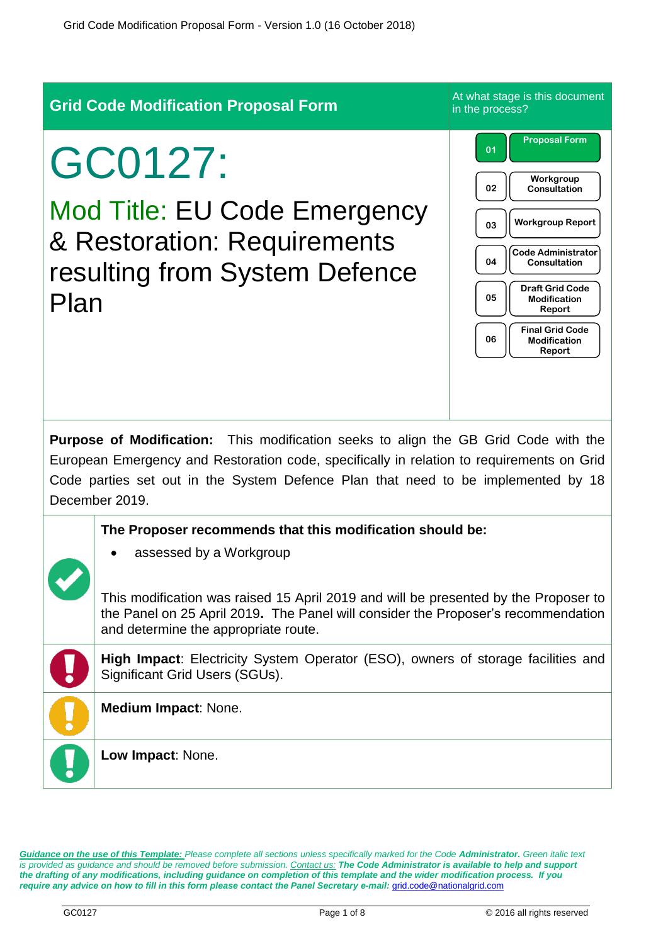| <b>Grid Code Modification Proposal Form</b>                                                                                                                                                                                                                                             |                                                                                                                                                                                                                                                                                                          | At what stage is this document<br>in the process?                                                                                                                                                                                                                                   |  |  |
|-----------------------------------------------------------------------------------------------------------------------------------------------------------------------------------------------------------------------------------------------------------------------------------------|----------------------------------------------------------------------------------------------------------------------------------------------------------------------------------------------------------------------------------------------------------------------------------------------------------|-------------------------------------------------------------------------------------------------------------------------------------------------------------------------------------------------------------------------------------------------------------------------------------|--|--|
| GC0127:<br><b>Mod Title: EU Code Emergency</b><br>& Restoration: Requirements<br>resulting from System Defence<br>Plan                                                                                                                                                                  |                                                                                                                                                                                                                                                                                                          | <b>Proposal Form</b><br>01<br>Workgroup<br>02<br>Consultation<br><b>Workgroup Report</b><br>03<br><b>Code Administrator</b><br>04<br>Consultation<br><b>Draft Grid Code</b><br>05<br><b>Modification</b><br>Report<br><b>Final Grid Code</b><br>06<br><b>Modification</b><br>Report |  |  |
| Purpose of Modification: This modification seeks to align the GB Grid Code with the<br>European Emergency and Restoration code, specifically in relation to requirements on Grid<br>Code parties set out in the System Defence Plan that need to be implemented by 18<br>December 2019. |                                                                                                                                                                                                                                                                                                          |                                                                                                                                                                                                                                                                                     |  |  |
|                                                                                                                                                                                                                                                                                         | The Proposer recommends that this modification should be:<br>assessed by a Workgroup<br>This modification was raised 15 April 2019 and will be presented by the Proposer to<br>the Panel on 25 April 2019. The Panel will consider the Proposer's recommendation<br>and determine the appropriate route. |                                                                                                                                                                                                                                                                                     |  |  |
|                                                                                                                                                                                                                                                                                         | <b>High Impact:</b> Electricity System Operator (ESO), owners of storage facilities and<br>Significant Grid Users (SGUs).                                                                                                                                                                                |                                                                                                                                                                                                                                                                                     |  |  |
|                                                                                                                                                                                                                                                                                         | Medium Impact: None.<br>Low Impact: None.                                                                                                                                                                                                                                                                |                                                                                                                                                                                                                                                                                     |  |  |

*Guidance on the use of this Template: Please complete all sections unless specifically marked for the Code Administrator. Green italic text is provided as guidance and should be removed before submission. Contact us: The Code Administrator is available to help and support the drafting of any modifications, including guidance on completion of this template and the wider modification process. If you*  require any advice on how to fill in this form please contact the Panel Secretary e-mail: **[grid.code@nationalgrid.com](mailto:grid.code@nationalgrid.com)**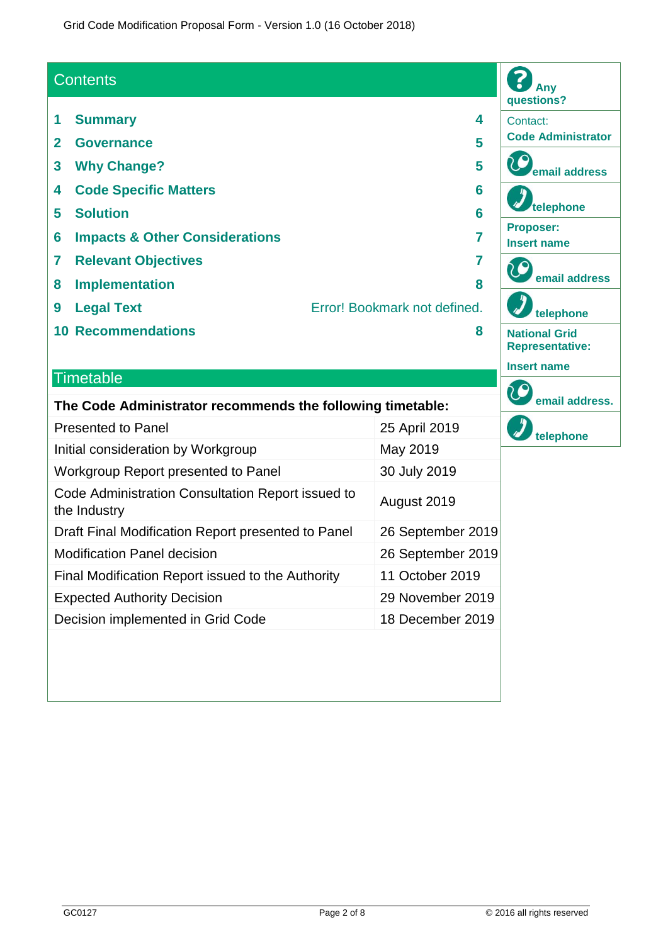Grid Code Modification Proposal Form - Version 1.0 (16 October 2018)

## **Contents**

- **1 Summary 4**
- **2 Governance 5**
- **3 Why Change? 5**
- **4 Code Specific Matters 6**
- **5 Solution 6**
- **6 Impacts & Other Considerations 7**
- **7 Relevant Objectives 7**
- **8 Implementation 8**
- 
- **9 Legal Text** Error! Bookmark not defined.
- **10 Recommendations 8**

#### **Timetable**

| The Code Administrator recommends the following timetable:        |                   |  |  |
|-------------------------------------------------------------------|-------------------|--|--|
| <b>Presented to Panel</b>                                         | 25 April 2019     |  |  |
| Initial consideration by Workgroup                                | May 2019          |  |  |
| Workgroup Report presented to Panel                               | 30 July 2019      |  |  |
| Code Administration Consultation Report issued to<br>the Industry | August 2019       |  |  |
| Draft Final Modification Report presented to Panel                | 26 September 2019 |  |  |
| <b>Modification Panel decision</b>                                | 26 September 2019 |  |  |
| Final Modification Report issued to the Authority                 | 11 October 2019   |  |  |
| <b>Expected Authority Decision</b>                                | 29 November 2019  |  |  |
| Decision implemented in Grid Code                                 | 18 December 2019  |  |  |
|                                                                   |                   |  |  |

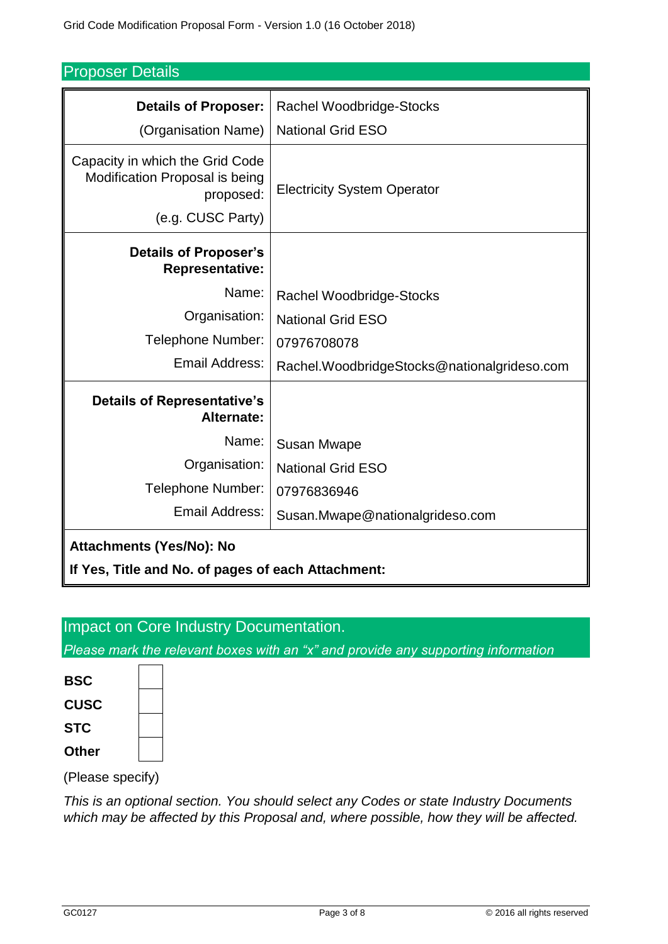| <b>Proposer Details</b> |  |
|-------------------------|--|
|-------------------------|--|

| <b>Details of Proposer:</b>                                                                         | <b>Rachel Woodbridge-Stocks</b>             |  |  |  |
|-----------------------------------------------------------------------------------------------------|---------------------------------------------|--|--|--|
| (Organisation Name)                                                                                 | <b>National Grid ESO</b>                    |  |  |  |
| Capacity in which the Grid Code<br>Modification Proposal is being<br>proposed:<br>(e.g. CUSC Party) | <b>Electricity System Operator</b>          |  |  |  |
| <b>Details of Proposer's</b><br><b>Representative:</b>                                              |                                             |  |  |  |
| Name:                                                                                               | Rachel Woodbridge-Stocks                    |  |  |  |
| Organisation:                                                                                       | <b>National Grid ESO</b>                    |  |  |  |
| Telephone Number:                                                                                   | 07976708078                                 |  |  |  |
| Email Address:                                                                                      | Rachel.WoodbridgeStocks@nationalgrideso.com |  |  |  |
| <b>Details of Representative's</b><br>Alternate:                                                    |                                             |  |  |  |
| Name:                                                                                               | <b>Susan Mwape</b>                          |  |  |  |
| Organisation:                                                                                       | <b>National Grid ESO</b>                    |  |  |  |
| Telephone Number:                                                                                   | 07976836946                                 |  |  |  |
| Email Address:                                                                                      | Susan.Mwape@nationalgrideso.com             |  |  |  |
| <b>Attachments (Yes/No): No</b>                                                                     |                                             |  |  |  |
| If Yes, Title and No. of pages of each Attachment:                                                  |                                             |  |  |  |

# Impact on Core Industry Documentation.

*Please mark the relevant boxes with an "x" and provide any supporting information*



(Please specify)

*This is an optional section. You should select any Codes or state Industry Documents which may be affected by this Proposal and, where possible, how they will be affected.*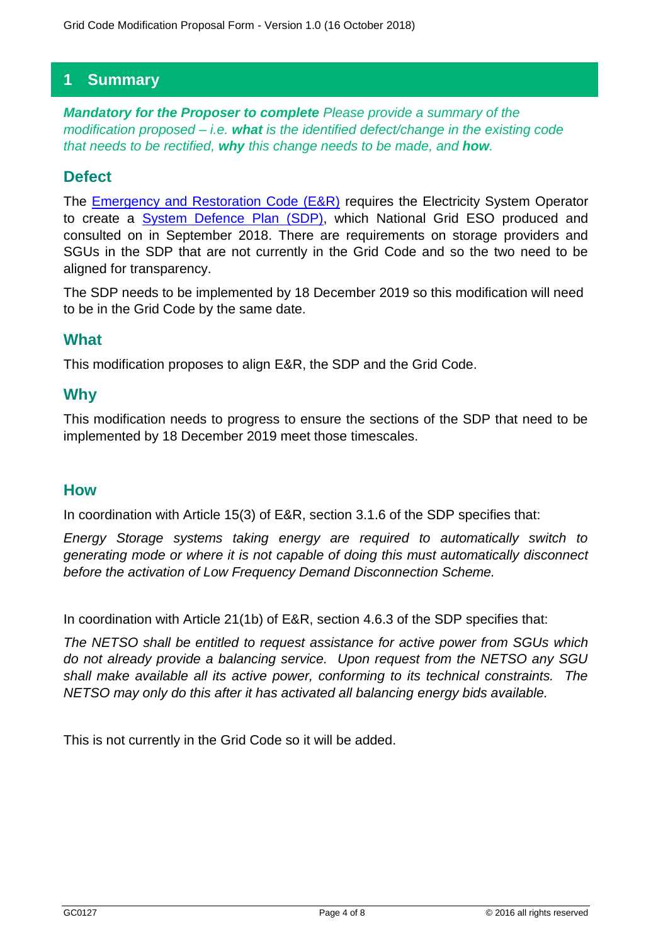# **1 Summary**

*Mandatory for the Proposer to complete Please provide a summary of the modification proposed – i.e. what is the identified defect/change in the existing code that needs to be rectified, why this change needs to be made, and how.*

## **Defect**

The [Emergency and Restoration Code \(E&R\)](https://eur-lex.europa.eu/legal-content/EN/TXT/PDF/?uri=CELEX:32017R2196&from=EN) requires the Electricity System Operator to create a [System Defence Plan \(SDP\),](https://www.nationalgrideso.com/codes/european-network-codes/meetings/emergency-and-restoration-consultation) which National Grid ESO produced and consulted on in September 2018. There are requirements on storage providers and SGUs in the SDP that are not currently in the Grid Code and so the two need to be aligned for transparency.

The SDP needs to be implemented by 18 December 2019 so this modification will need to be in the Grid Code by the same date.

## **What**

This modification proposes to align E&R, the SDP and the Grid Code.

## **Why**

This modification needs to progress to ensure the sections of the SDP that need to be implemented by 18 December 2019 meet those timescales.

## **How**

In coordination with Article 15(3) of E&R, section 3.1.6 of the SDP specifies that:

*Energy Storage systems taking energy are required to automatically switch to generating mode or where it is not capable of doing this must automatically disconnect before the activation of Low Frequency Demand Disconnection Scheme.*

In coordination with Article 21(1b) of E&R, section 4.6.3 of the SDP specifies that:

*The NETSO shall be entitled to request assistance for active power from SGUs which do not already provide a balancing service. Upon request from the NETSO any SGU shall make available all its active power, conforming to its technical constraints. The NETSO may only do this after it has activated all balancing energy bids available.*

This is not currently in the Grid Code so it will be added.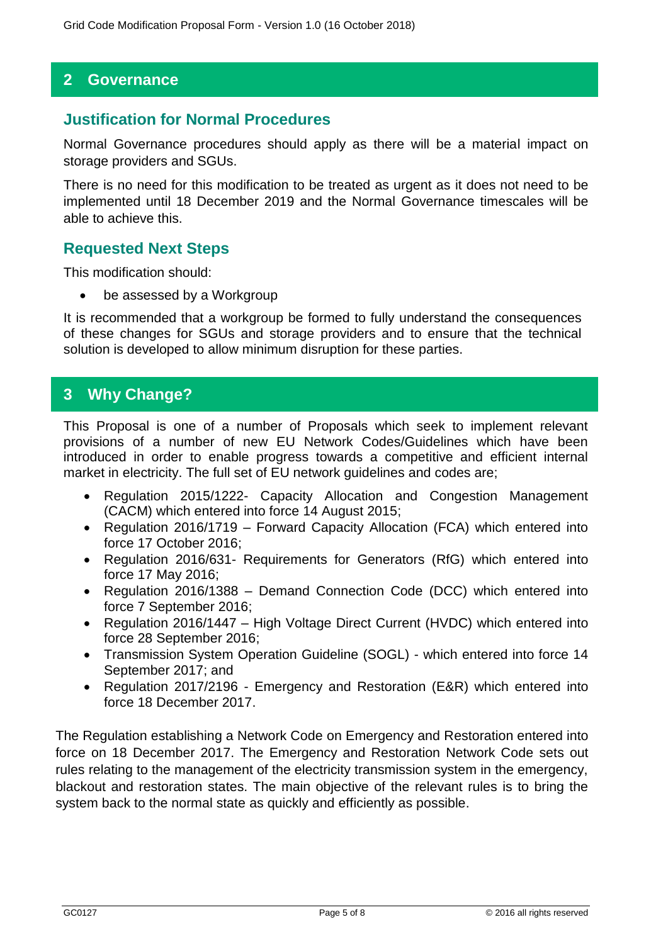## **2 Governance**

### **Justification for Normal Procedures**

Normal Governance procedures should apply as there will be a material impact on storage providers and SGUs.

There is no need for this modification to be treated as urgent as it does not need to be implemented until 18 December 2019 and the Normal Governance timescales will be able to achieve this.

### **Requested Next Steps**

This modification should:

be assessed by a Workgroup

It is recommended that a workgroup be formed to fully understand the consequences of these changes for SGUs and storage providers and to ensure that the technical solution is developed to allow minimum disruption for these parties.

## **3 Why Change?**

This Proposal is one of a number of Proposals which seek to implement relevant provisions of a number of new EU Network Codes/Guidelines which have been introduced in order to enable progress towards a competitive and efficient internal market in electricity. The full set of EU network guidelines and codes are;

- Regulation 2015/1222- Capacity Allocation and Congestion Management (CACM) which entered into force 14 August 2015;
- Regulation 2016/1719 Forward Capacity Allocation (FCA) which entered into force 17 October 2016;
- Regulation 2016/631- Requirements for Generators (RfG) which entered into force 17 May 2016;
- Regulation 2016/1388 Demand Connection Code (DCC) which entered into force 7 September 2016;
- Regulation 2016/1447 High Voltage Direct Current (HVDC) which entered into force 28 September 2016;
- Transmission System Operation Guideline (SOGL) which entered into force 14 September 2017; and
- Regulation 2017/2196 Emergency and Restoration (E&R) which entered into force 18 December 2017.

The Regulation establishing a Network Code on Emergency and Restoration entered into force on 18 December 2017. The Emergency and Restoration Network Code sets out rules relating to the management of the electricity transmission system in the emergency, blackout and restoration states. The main objective of the relevant rules is to bring the system back to the normal state as quickly and efficiently as possible.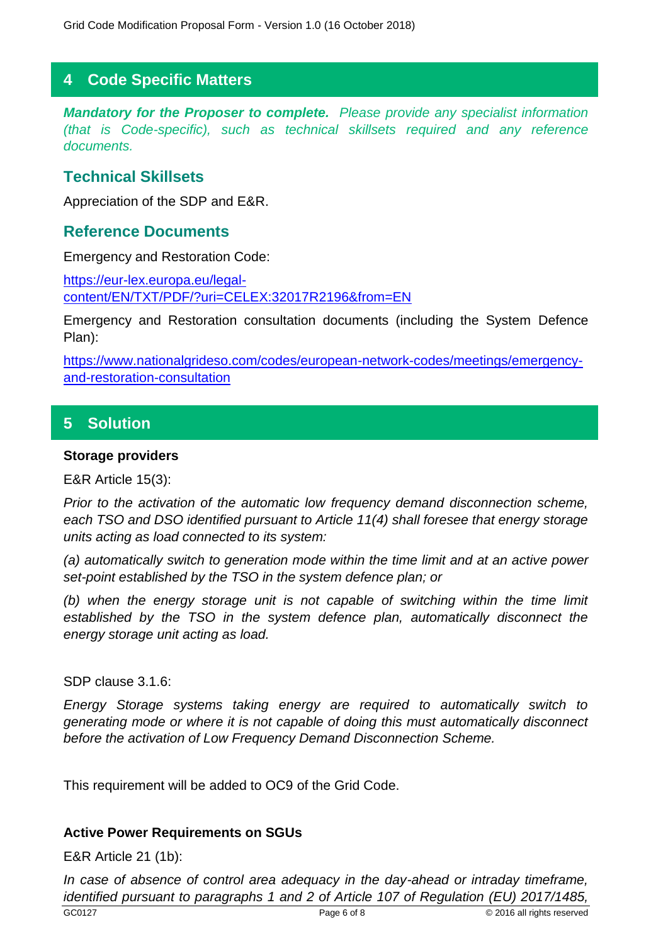## **4 Code Specific Matters**

*Mandatory for the Proposer to complete. Please provide any specialist information (that is Code-specific), such as technical skillsets required and any reference documents.*

## **Technical Skillsets**

Appreciation of the SDP and E&R.

## **Reference Documents**

Emergency and Restoration Code:

[https://eur-lex.europa.eu/legal](https://eur-lex.europa.eu/legal-content/EN/TXT/PDF/?uri=CELEX:32017R2196&from=EN)[content/EN/TXT/PDF/?uri=CELEX:32017R2196&from=EN](https://eur-lex.europa.eu/legal-content/EN/TXT/PDF/?uri=CELEX:32017R2196&from=EN)

Emergency and Restoration consultation documents (including the System Defence Plan):

[https://www.nationalgrideso.com/codes/european-network-codes/meetings/emergency](https://www.nationalgrideso.com/codes/european-network-codes/meetings/emergency-and-restoration-consultation)[and-restoration-consultation](https://www.nationalgrideso.com/codes/european-network-codes/meetings/emergency-and-restoration-consultation)

# **5 Solution**

#### **Storage providers**

E&R Article 15(3):

*Prior to the activation of the automatic low frequency demand disconnection scheme, each TSO and DSO identified pursuant to Article 11(4) shall foresee that energy storage units acting as load connected to its system:* 

*(a) automatically switch to generation mode within the time limit and at an active power set-point established by the TSO in the system defence plan; or* 

*(b) when the energy storage unit is not capable of switching within the time limit*  established by the TSO in the system defence plan, automatically disconnect the *energy storage unit acting as load.*

SDP clause 3.1.6:

*Energy Storage systems taking energy are required to automatically switch to generating mode or where it is not capable of doing this must automatically disconnect before the activation of Low Frequency Demand Disconnection Scheme.*

This requirement will be added to OC9 of the Grid Code.

#### **Active Power Requirements on SGUs**

E&R Article 21 (1b):

GC0127 **Page 6 of 8** CO127 **Page 6 of 8** CO127 **Page 6 of 8** CO127 **Page 6 of 8** CO127 **Page 6 of 8** CO127 **Page 6 of 8** CO127 **Page 6 of 8** CO127 **Page 6 of 8** CO127 **Page 6 of 8** CO127 **Page 6 of 8** CO127 **Page 10** CO127 *In case of absence of control area adequacy in the day-ahead or intraday timeframe, identified pursuant to paragraphs 1 and 2 of Article 107 of Regulation (EU) 2017/1485,*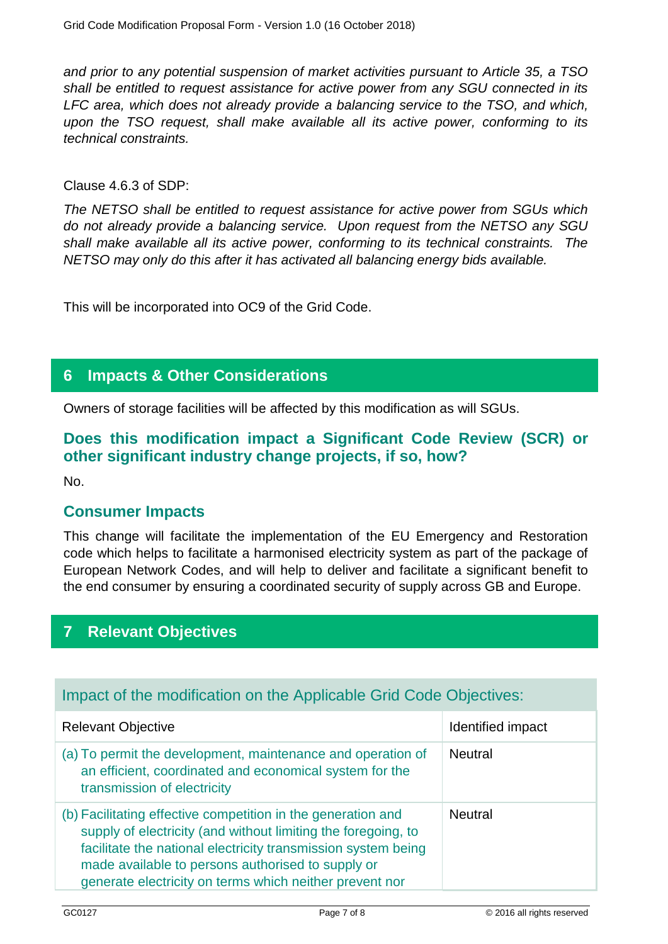*and prior to any potential suspension of market activities pursuant to Article 35, a TSO shall be entitled to request assistance for active power from any SGU connected in its LFC area, which does not already provide a balancing service to the TSO, and which, upon the TSO request, shall make available all its active power, conforming to its technical constraints.*

#### Clause 4.6.3 of SDP:

*The NETSO shall be entitled to request assistance for active power from SGUs which do not already provide a balancing service. Upon request from the NETSO any SGU shall make available all its active power, conforming to its technical constraints. The NETSO may only do this after it has activated all balancing energy bids available.*

This will be incorporated into OC9 of the Grid Code.

## **6 Impacts & Other Considerations**

Owners of storage facilities will be affected by this modification as will SGUs.

# **Does this modification impact a Significant Code Review (SCR) or other significant industry change projects, if so, how?**

No.

## **Consumer Impacts**

This change will facilitate the implementation of the EU Emergency and Restoration code which helps to facilitate a harmonised electricity system as part of the package of European Network Codes, and will help to deliver and facilitate a significant benefit to the end consumer by ensuring a coordinated security of supply across GB and Europe.

## **7 Relevant Objectives**

## Impact of the modification on the Applicable Grid Code Objectives:

| <b>Relevant Objective</b>                                                                                                                                                                                                                                                                                      | Identified impact |
|----------------------------------------------------------------------------------------------------------------------------------------------------------------------------------------------------------------------------------------------------------------------------------------------------------------|-------------------|
| (a) To permit the development, maintenance and operation of<br>an efficient, coordinated and economical system for the<br>transmission of electricity                                                                                                                                                          | <b>Neutral</b>    |
| (b) Facilitating effective competition in the generation and<br>supply of electricity (and without limiting the foregoing, to<br>facilitate the national electricity transmission system being<br>made available to persons authorised to supply or<br>generate electricity on terms which neither prevent nor | <b>Neutral</b>    |